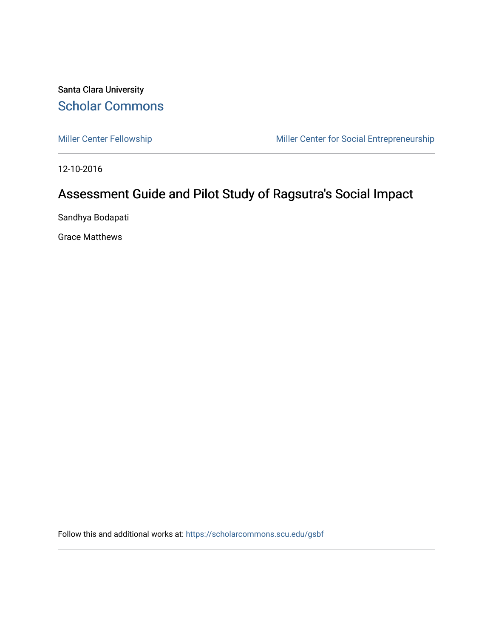Santa Clara University [Scholar Commons](https://scholarcommons.scu.edu/) 

[Miller Center Fellowship](https://scholarcommons.scu.edu/gsbf) Miller Center for Social Entrepreneurship

12-10-2016

# Assessment Guide and Pilot Study of Ragsutra's Social Impact

Sandhya Bodapati

Grace Matthews

Follow this and additional works at: [https://scholarcommons.scu.edu/gsbf](https://scholarcommons.scu.edu/gsbf?utm_source=scholarcommons.scu.edu%2Fgsbf%2F77&utm_medium=PDF&utm_campaign=PDFCoverPages)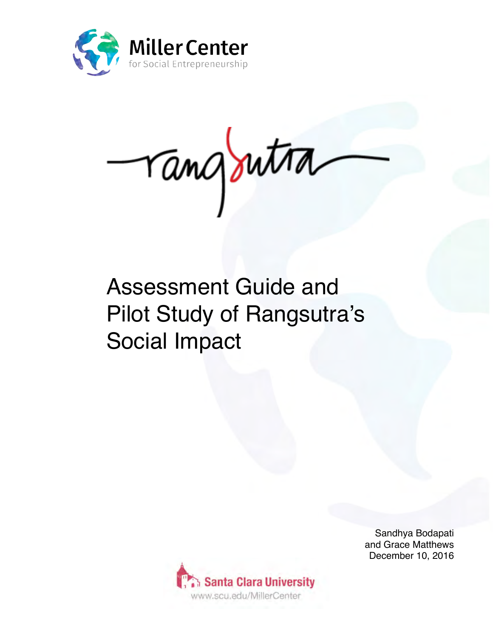

rangoutra

# Assessment Guide and Pilot Study of Rangsutra's Social Impact



Sandhya Bodapati and Grace Matthews December 10, 2016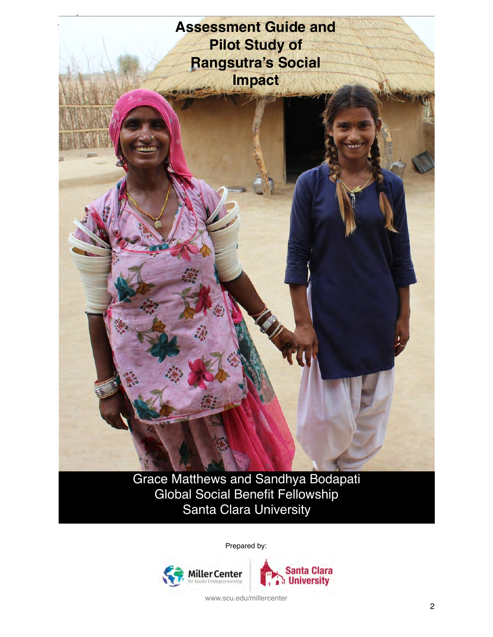

Grace Matthews and Sandhya Bodapati Global Social Benefit Fellowship Santa Clara University

Prepared by:

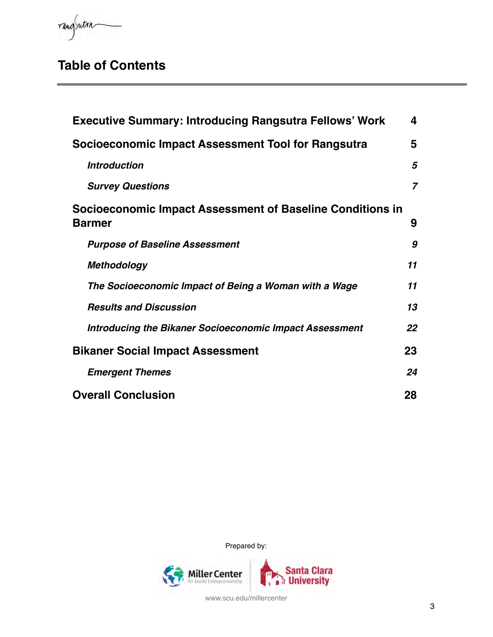rangsutra

# **Table of Contents**

| <b>Executive Summary: Introducing Rangsutra Fellows' Work</b>              | 4              |
|----------------------------------------------------------------------------|----------------|
| Socioeconomic Impact Assessment Tool for Rangsutra                         | 5              |
| <b>Introduction</b>                                                        | 5              |
| <b>Survey Questions</b>                                                    | $\overline{7}$ |
| Socioeconomic Impact Assessment of Baseline Conditions in<br><b>Barmer</b> | 9              |
| <b>Purpose of Baseline Assessment</b>                                      | 9              |
| <b>Methodology</b>                                                         | 11             |
| The Socioeconomic Impact of Being a Woman with a Wage                      | 11             |
| <b>Results and Discussion</b>                                              | 13             |
| <b>Introducing the Bikaner Socioeconomic Impact Assessment</b>             | 22             |
| <b>Bikaner Social Impact Assessment</b>                                    | 23             |
| <b>Emergent Themes</b>                                                     | 24             |
| <b>Overall Conclusion</b>                                                  | 28             |

Prepared by:

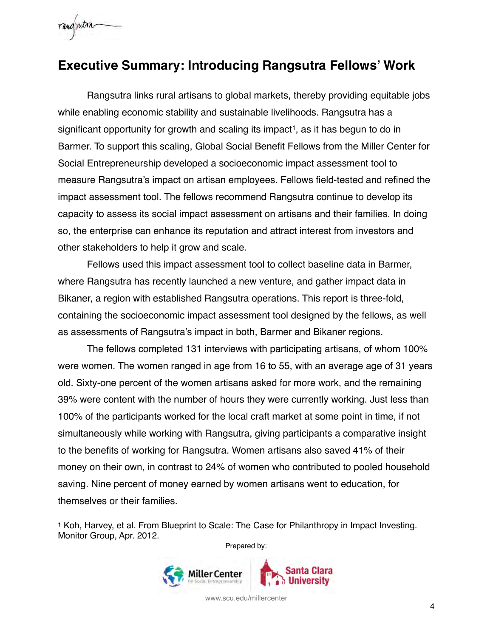

## <span id="page-4-0"></span>**Executive Summary: Introducing Rangsutra Fellows' Work**

<span id="page-4-2"></span>Rangsutra links rural artisans to global markets, thereby providing equitable jobs while enabling economic stability and sustainable livelihoods. Rangsutra has a significant opportunity for growth and scaling its impact<sup>[1](#page-4-1)</sup>, as it has begun to do in Barmer. To support this scaling, Global Social Benefit Fellows from the Miller Center for Social Entrepreneurship developed a socioeconomic impact assessment tool to measure Rangsutra's impact on artisan employees. Fellows field-tested and refined the impact assessment tool. The fellows recommend Rangsutra continue to develop its capacity to assess its social impact assessment on artisans and their families. In doing so, the enterprise can enhance its reputation and attract interest from investors and other stakeholders to help it grow and scale.

Fellows used this impact assessment tool to collect baseline data in Barmer, where Rangsutra has recently launched a new venture, and gather impact data in Bikaner, a region with established Rangsutra operations. This report is three-fold, containing the socioeconomic impact assessment tool designed by the fellows, as well as assessments of Rangsutra's impact in both, Barmer and Bikaner regions.

The fellows completed 131 interviews with participating artisans, of whom 100% were women. The women ranged in age from 16 to 55, with an average age of 31 years old. Sixty-one percent of the women artisans asked for more work, and the remaining 39% were content with the number of hours they were currently working. Just less than 100% of the participants worked for the local craft market at some point in time, if not simultaneously while working with Rangsutra, giving participants a comparative insight to the benefits of working for Rangsutra. Women artisans also saved 41% of their money on their own, in contrast to 24% of women who contributed to pooled household saving. Nine percent of money earned by women artisans went to education, for themselves or their families.

Prepared by:



<span id="page-4-1"></span>[<sup>1</sup>](#page-4-2) Koh, Harvey, et al. From Blueprint to Scale: The Case for Philanthropy in Impact Investing. Monitor Group, Apr. 2012.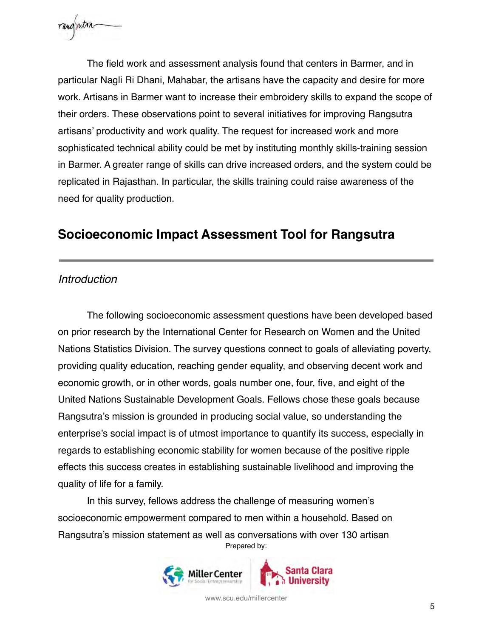

The field work and assessment analysis found that centers in Barmer, and in particular Nagli Ri Dhani, Mahabar, the artisans have the capacity and desire for more work. Artisans in Barmer want to increase their embroidery skills to expand the scope of their orders. These observations point to several initiatives for improving Rangsutra artisans' productivity and work quality. The request for increased work and more sophisticated technical ability could be met by instituting monthly skills-training session in Barmer. A greater range of skills can drive increased orders, and the system could be replicated in Rajasthan. In particular, the skills training could raise awareness of the need for quality production.

### <span id="page-5-0"></span>**Socioeconomic Impact Assessment Tool for Rangsutra**

### <span id="page-5-1"></span>*Introduction*

The following socioeconomic assessment questions have been developed based on prior research by the International Center for Research on Women and the United Nations Statistics Division. The survey questions connect to goals of alleviating poverty, providing quality education, reaching gender equality, and observing decent work and economic growth, or in other words, goals number one, four, five, and eight of the United Nations Sustainable Development Goals. Fellows chose these goals because Rangsutra's mission is grounded in producing social value, so understanding the enterprise's social impact is of utmost importance to quantify its success, especially in regards to establishing economic stability for women because of the positive ripple effects this success creates in establishing sustainable livelihood and improving the quality of life for a family.

In this survey, fellows address the challenge of measuring women's socioeconomic empowerment compared to men within a household. Based on Rangsutra's mission statement as well as conversations with over 130 artisan Prepared by:



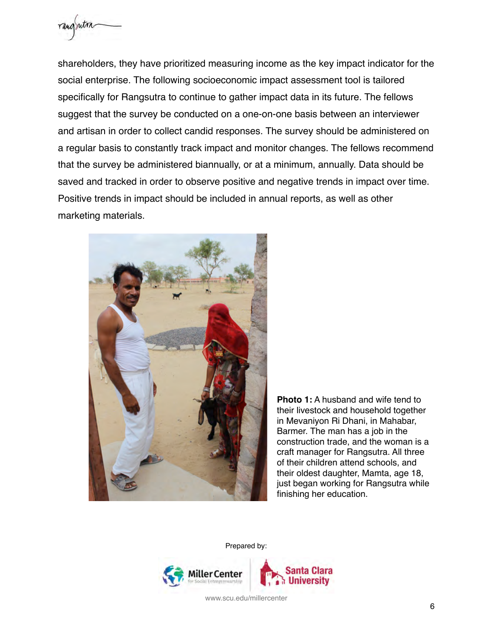

shareholders, they have prioritized measuring income as the key impact indicator for the social enterprise. The following socioeconomic impact assessment tool is tailored specifically for Rangsutra to continue to gather impact data in its future. The fellows suggest that the survey be conducted on a one-on-one basis between an interviewer and artisan in order to collect candid responses. The survey should be administered on a regular basis to constantly track impact and monitor changes. The fellows recommend that the survey be administered biannually, or at a minimum, annually. Data should be saved and tracked in order to observe positive and negative trends in impact over time. Positive trends in impact should be included in annual reports, as well as other marketing materials.



**Photo 1:** A husband and wife tend to their livestock and household together in Mevaniyon Ri Dhani, in Mahabar, Barmer. The man has a job in the construction trade, and the woman is a craft manager for Rangsutra. All three of their children attend schools, and their oldest daughter, Mamta, age 18, just began working for Rangsutra while finishing her education.

Prepared by:

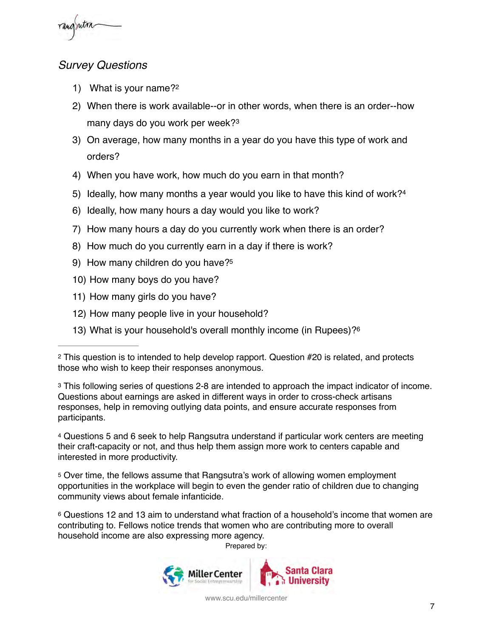

### <span id="page-7-0"></span>*Survey Questions*

- <span id="page-7-6"></span>1) What is your name[?2](#page-7-1)
- 2) When there is work available--or in other words, when there is an order--how many days do you work per week?[3](#page-7-2)
- <span id="page-7-7"></span>3) On average, how many months in a year do you have this type of work and orders?
- 4) When you have work, how much do you earn in that month?
- <span id="page-7-8"></span>5) Ideally, how many months a year would you like to have this kind of work?[4](#page-7-3)
- 6) Ideally, how many hours a day would you like to work?
- 7) How many hours a day do you currently work when there is an order?
- 8) How much do you currently earn in a day if there is work?
- 9) How many children do you have[?5](#page-7-4)
- <span id="page-7-9"></span>10) How many boys do you have?
- 11) How many girls do you have?
- 12) How many people live in your household?
- 13) What is your household's overall monthly income (in Rupees)[?6](#page-7-5)

<span id="page-7-2"></span>[3](#page-7-7) This following series of questions 2-8 are intended to approach the impact indicator of income. Questions about earnings are asked in different ways in order to cross-check artisans responses, help in removing outlying data points, and ensure accurate responses from participants.

<span id="page-7-3"></span>[4](#page-7-8) Questions 5 and 6 seek to help Rangsutra understand if particular work centers are meeting their craft-capacity or not, and thus help them assign more work to centers capable and interested in more productivity.

<span id="page-7-4"></span>[5](#page-7-9) Over time, the fellows assume that Rangsutra's work of allowing women employment opportunities in the workplace will begin to even the gender ratio of children due to changing community views about female infanticide.

<span id="page-7-5"></span>[6](#page-7-10) Questions 12 and 13 aim to understand what fraction of a household's income that women are contributing to. Fellows notice trends that women who are contributing more to overall household income are also expressing more agency.

<span id="page-7-10"></span>Prepared by:



<span id="page-7-1"></span>[<sup>2</sup>](#page-7-6) This question is to intended to help develop rapport. Question #20 is related, and protects those who wish to keep their responses anonymous.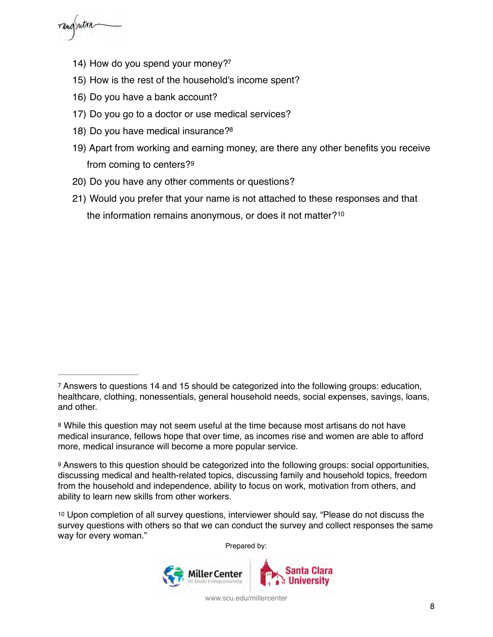rangrutra

- <span id="page-8-4"></span>14) How do you spend your money[?7](#page-8-0)
- 15) How is the rest of the household's income spent?
- 16) Do you have a bank account?
- 17) Do you go to a doctor or use medical services?
- <span id="page-8-5"></span>18) Do you have medical insurance[?8](#page-8-1)
- 19) Apart from working and earning money, are there any other benefits you receive from coming to centers?[9](#page-8-2)
- <span id="page-8-6"></span>20) Do you have any other comments or questions?
- <span id="page-8-7"></span>21) Would you prefer that your name is not attached to these responses and that the information remains anonymous, or does it not matter?[10](#page-8-3)

Prepared by:



<span id="page-8-0"></span>[<sup>7</sup>](#page-8-4) Answers to questions 14 and 15 should be categorized into the following groups: education, healthcare, clothing, nonessentials, general household needs, social expenses, savings, loans, and other.

<span id="page-8-1"></span>[<sup>8</sup>](#page-8-5) While this question may not seem useful at the time because most artisans do not have medical insurance, fellows hope that over time, as incomes rise and women are able to afford more, medical insurance will become a more popular service.

<span id="page-8-2"></span>[<sup>9</sup>](#page-8-6) Answers to this question should be categorized into the following groups: social opportunities, discussing medical and health-related topics, discussing family and household topics, freedom from the household and independence, ability to focus on work, motivation from others, and ability to learn new skills from other workers.

<span id="page-8-3"></span>[<sup>10</sup>](#page-8-7) Upon completion of all survey questions, interviewer should say, "Please do not discuss the survey questions with others so that we can conduct the survey and collect responses the same way for every woman."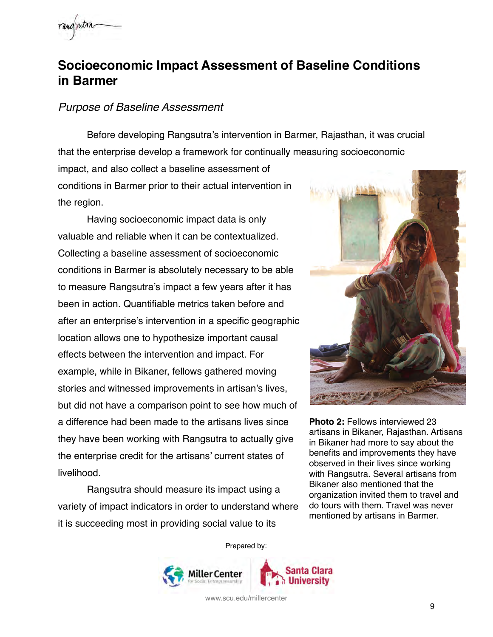

## <span id="page-9-0"></span>**Socioeconomic Impact Assessment of Baseline Conditions in Barmer**

#### <span id="page-9-1"></span>*Purpose of Baseline Assessment*

Before developing Rangsutra's intervention in Barmer, Rajasthan, it was crucial that the enterprise develop a framework for continually measuring socioeconomic impact, and also collect a baseline assessment of conditions in Barmer prior to their actual intervention in the region.

Having socioeconomic impact data is only valuable and reliable when it can be contextualized. Collecting a baseline assessment of socioeconomic conditions in Barmer is absolutely necessary to be able to measure Rangsutra's impact a few years after it has been in action. Quantifiable metrics taken before and after an enterprise's intervention in a specific geographic location allows one to hypothesize important causal effects between the intervention and impact. For example, while in Bikaner, fellows gathered moving stories and witnessed improvements in artisan's lives, but did not have a comparison point to see how much of a difference had been made to the artisans lives since they have been working with Rangsutra to actually give the enterprise credit for the artisans' current states of livelihood.

Rangsutra should measure its impact using a variety of impact indicators in order to understand where it is succeeding most in providing social value to its



**Photo 2:** Fellows interviewed 23 artisans in Bikaner, Rajasthan. Artisans in Bikaner had more to say about the benefits and improvements they have observed in their lives since working with Rangsutra. Several artisans from Bikaner also mentioned that the organization invited them to travel and do tours with them. Travel was never mentioned by artisans in Barmer.

Prepared by:

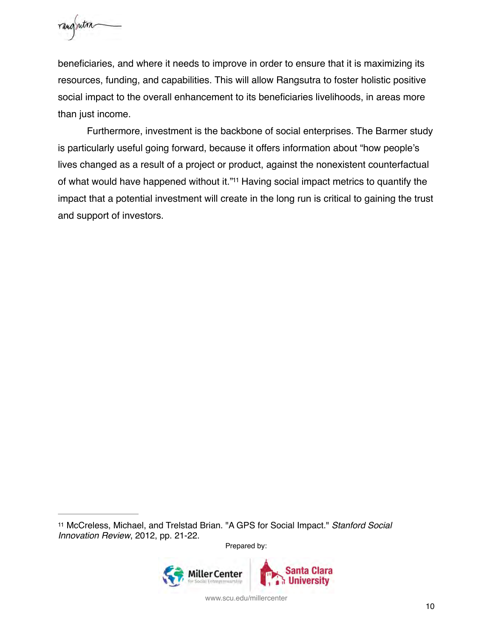

beneficiaries, and where it needs to improve in order to ensure that it is maximizing its resources, funding, and capabilities. This will allow Rangsutra to foster holistic positive social impact to the overall enhancement to its beneficiaries livelihoods, in areas more than just income.

<span id="page-10-1"></span>Furthermore, investment is the backbone of social enterprises. The Barmer study is particularly useful going forward, because it offers information about "how people's lives changed as a result of a project or product, against the nonexistent counterfactual of what would have happened without it."<sup>[11](#page-10-0)</sup> Having social impact metrics to quantify the impact that a potential investment will create in the long run is critical to gaining the trust and support of investors.

Prepared by:



<span id="page-10-0"></span>[<sup>11</sup>](#page-10-1) McCreless, Michael, and Trelstad Brian. "A GPS for Social Impact." *Stanford Social Innovation Review*, 2012, pp. 21-22.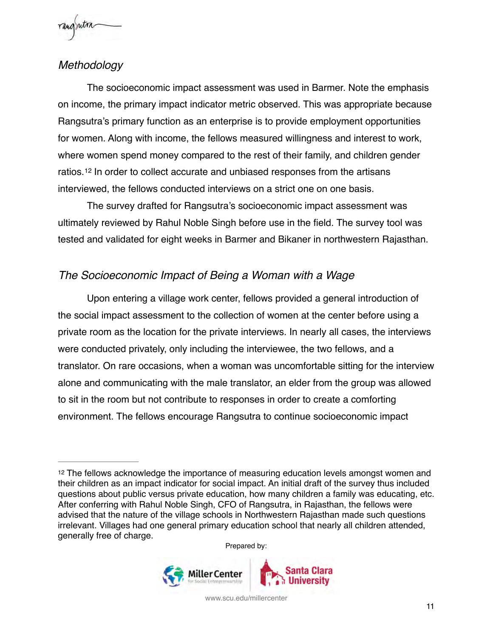

### <span id="page-11-0"></span>*Methodology*

The socioeconomic impact assessment was used in Barmer. Note the emphasis on income, the primary impact indicator metric observed. This was appropriate because Rangsutra's primary function as an enterprise is to provide employment opportunities for women. Along with income, the fellows measured willingness and interest to work, where women spend money compared to the rest of their family, and children gender ratios.<sup>12</sup>In order to collect accurate and unbiased responses from the artisans interviewed, the fellows conducted interviews on a strict one on one basis.

<span id="page-11-3"></span>The survey drafted for Rangsutra's socioeconomic impact assessment was ultimately reviewed by Rahul Noble Singh before use in the field. The survey tool was tested and validated for eight weeks in Barmer and Bikaner in northwestern Rajasthan.

### <span id="page-11-1"></span>*The Socioeconomic Impact of Being a Woman with a Wage*

Upon entering a village work center, fellows provided a general introduction of the social impact assessment to the collection of women at the center before using a private room as the location for the private interviews. In nearly all cases, the interviews were conducted privately, only including the interviewee, the two fellows, and a translator. On rare occasions, when a woman was uncomfortable sitting for the interview alone and communicating with the male translator, an elder from the group was allowed to sit in the room but not contribute to responses in order to create a comforting environment. The fellows encourage Rangsutra to continue socioeconomic impact

Prepared by:



<span id="page-11-2"></span>[<sup>12</sup>](#page-11-3) The fellows acknowledge the importance of measuring education levels amongst women and their children as an impact indicator for social impact. An initial draft of the survey thus included questions about public versus private education, how many children a family was educating, etc. After conferring with Rahul Noble Singh, CFO of Rangsutra, in Rajasthan, the fellows were advised that the nature of the village schools in Northwestern Rajasthan made such questions irrelevant. Villages had one general primary education school that nearly all children attended, generally free of charge.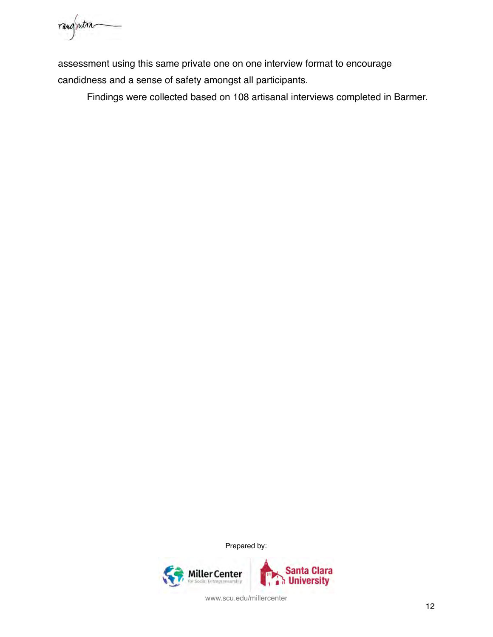rangrutra

assessment using this same private one on one interview format to encourage candidness and a sense of safety amongst all participants.

Findings were collected based on 108 artisanal interviews completed in Barmer.

Prepared by:

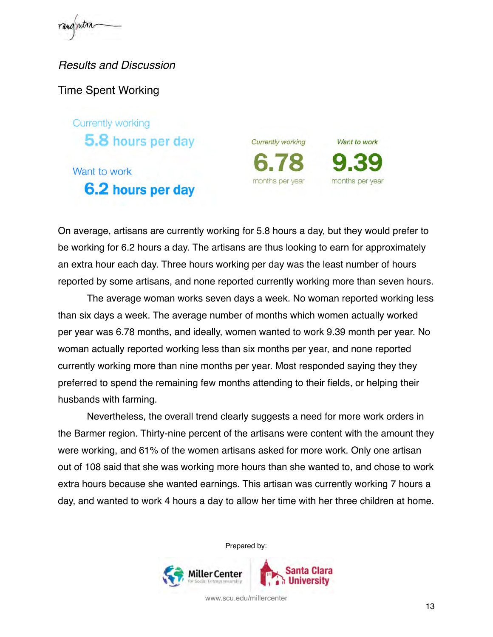rangentra

<span id="page-13-0"></span>*Results and Discussion*

Time Spent Working

Currently working 5.8 hours per day

# Want to work 6.2 hours per day

**Currently working** months per year

Want to work months per year

On average, artisans are currently working for 5.8 hours a day, but they would prefer to be working for 6.2 hours a day. The artisans are thus looking to earn for approximately an extra hour each day. Three hours working per day was the least number of hours reported by some artisans, and none reported currently working more than seven hours.

The average woman works seven days a week. No woman reported working less than six days a week. The average number of months which women actually worked per year was 6.78 months, and ideally, women wanted to work 9.39 month per year. No woman actually reported working less than six months per year, and none reported currently working more than nine months per year. Most responded saying they they preferred to spend the remaining few months attending to their fields, or helping their husbands with farming.

Nevertheless, the overall trend clearly suggests a need for more work orders in the Barmer region. Thirty-nine percent of the artisans were content with the amount they were working, and 61% of the women artisans asked for more work. Only one artisan out of 108 said that she was working more hours than she wanted to, and chose to work extra hours because she wanted earnings. This artisan was currently working 7 hours a day, and wanted to work 4 hours a day to allow her time with her three children at home.

Prepared by:

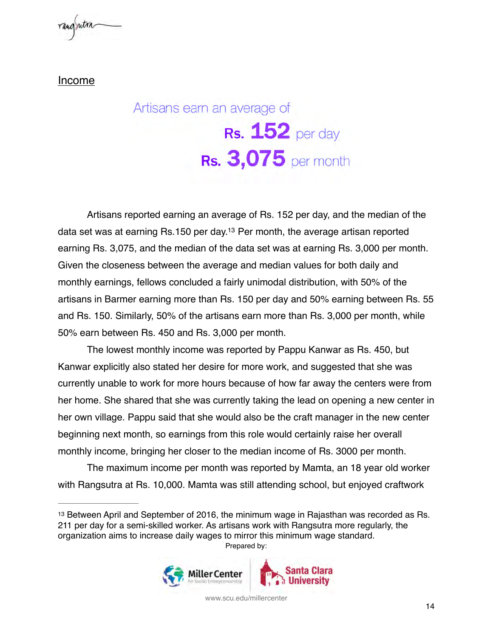

Income

# <span id="page-14-1"></span>Artisans earn an average of Rs.  $152$  per day **Rs. 3,075** per month

Artisans reported earning an average of Rs. 152 per day, and the median of the data set was at earning Rs[.](#page-14-0)150 per day.<sup>[13](#page-14-0)</sup> Per month, the average artisan reported earning Rs. 3,075, and the median of the data set was at earning Rs. 3,000 per month. Given the closeness between the average and median values for both daily and monthly earnings, fellows concluded a fairly unimodal distribution, with 50% of the artisans in Barmer earning more than Rs. 150 per day and 50% earning between Rs. 55 and Rs. 150. Similarly, 50% of the artisans earn more than Rs. 3,000 per month, while 50% earn between Rs. 450 and Rs. 3,000 per month.

The lowest monthly income was reported by Pappu Kanwar as Rs. 450, but Kanwar explicitly also stated her desire for more work, and suggested that she was currently unable to work for more hours because of how far away the centers were from her home. She shared that she was currently taking the lead on opening a new center in her own village. Pappu said that she would also be the craft manager in the new center beginning next month, so earnings from this role would certainly raise her overall monthly income, bringing her closer to the median income of Rs. 3000 per month.

The maximum income per month was reported by Mamta, an 18 year old worker with Rangsutra at Rs. 10,000. Mamta was still attending school, but enjoyed craftwork

<span id="page-14-0"></span>[<sup>13</sup>](#page-14-1) Between April and September of 2016, the minimum wage in Rajasthan was recorded as Rs. 211 per day for a semi-skilled worker. As artisans work with Rangsutra more regularly, the organization aims to increase daily wages to mirror this minimum wage standard. Prepared by:

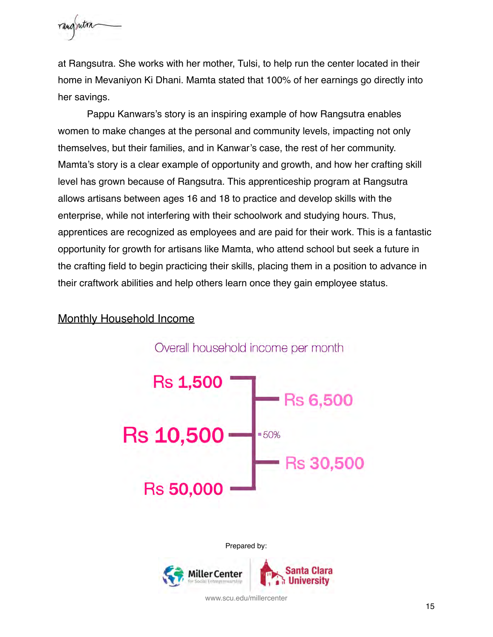

at Rangsutra. She works with her mother, Tulsi, to help run the center located in their home in Mevaniyon Ki Dhani. Mamta stated that 100% of her earnings go directly into her savings.

Pappu Kanwars's story is an inspiring example of how Rangsutra enables women to make changes at the personal and community levels, impacting not only themselves, but their families, and in Kanwar's case, the rest of her community. Mamta's story is a clear example of opportunity and growth, and how her crafting skill level has grown because of Rangsutra. This apprenticeship program at Rangsutra allows artisans between ages 16 and 18 to practice and develop skills with the enterprise, while not interfering with their schoolwork and studying hours. Thus, apprentices are recognized as employees and are paid for their work. This is a fantastic opportunity for growth for artisans like Mamta, who attend school but seek a future in the crafting field to begin practicing their skills, placing them in a position to advance in their craftwork abilities and help others learn once they gain employee status.

#### Monthly Household Income



Prepared by:

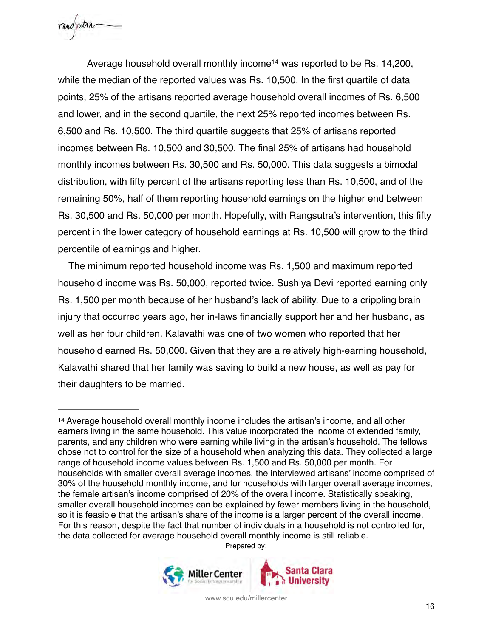rangentra

<span id="page-16-1"></span>Av[e](#page-16-0)rage household overall monthly income<sup>[14](#page-16-0)</sup> was reported to be Rs. 14,200, while the median of the reported values was Rs. 10,500. In the first quartile of data points, 25% of the artisans reported average household overall incomes of Rs. 6,500 and lower, and in the second quartile, the next 25% reported incomes between Rs. 6,500 and Rs. 10,500. The third quartile suggests that 25% of artisans reported incomes between Rs. 10,500 and 30,500. The final 25% of artisans had household monthly incomes between Rs. 30,500 and Rs. 50,000. This data suggests a bimodal distribution, with fifty percent of the artisans reporting less than Rs. 10,500, and of the remaining 50%, half of them reporting household earnings on the higher end between Rs. 30,500 and Rs. 50,000 per month. Hopefully, with Rangsutra's intervention, this fifty percent in the lower category of household earnings at Rs. 10,500 will grow to the third percentile of earnings and higher.

 The minimum reported household income was Rs. 1,500 and maximum reported household income was Rs. 50,000, reported twice. Sushiya Devi reported earning only Rs. 1,500 per month because of her husband's lack of ability. Due to a crippling brain injury that occurred years ago, her in-laws financially support her and her husband, as well as her four children. Kalavathi was one of two women who reported that her household earned Rs. 50,000. Given that they are a relatively high-earning household, Kalavathi shared that her family was saving to build a new house, as well as pay for their daughters to be married.

Prepared by:



<span id="page-16-0"></span>[<sup>14</sup>](#page-16-1) Average household overall monthly income includes the artisan's income, and all other earners living in the same household. This value incorporated the income of extended family, parents, and any children who were earning while living in the artisan's household. The fellows chose not to control for the size of a household when analyzing this data. They collected a large range of household income values between Rs. 1,500 and Rs. 50,000 per month. For households with smaller overall average incomes, the interviewed artisans' income comprised of 30% of the household monthly income, and for households with larger overall average incomes, the female artisan's income comprised of 20% of the overall income. Statistically speaking, smaller overall household incomes can be explained by fewer members living in the household, so it is feasible that the artisan's share of the income is a larger percent of the overall income. For this reason, despite the fact that number of individuals in a household is not controlled for, the data collected for average household overall monthly income is still reliable.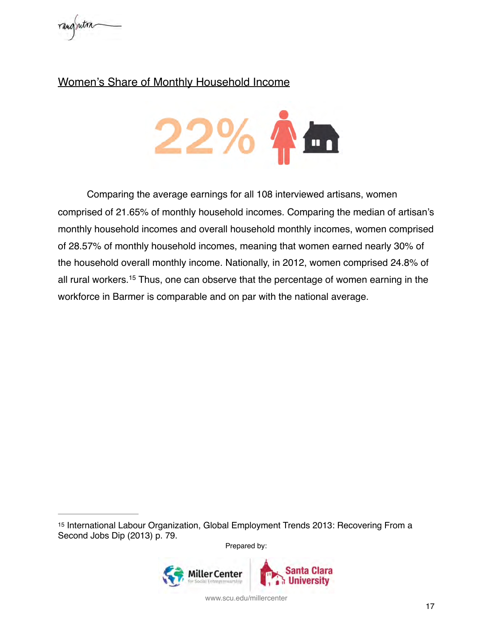

### Women's Share of Monthly Household Income



<span id="page-17-1"></span>Comparing the average earnings for all 108 interviewed artisans, women comprised of 21.65% of monthly household incomes. Comparing the median of artisan's monthly household incomes and overall household monthly incomes, women comprised of 28.57% of monthly household incomes, meaning that women earned nearly 30% of the household overall monthly income. Nationally, in 2012, women comprised 24.8% of all rural workers.<sup>[15](#page-17-0)</sup> Thus, one can observe that the percentage of women earning in the workforce in Barmer is comparable and on par with the national average.

Prepared by:



<span id="page-17-0"></span>[<sup>15</sup>](#page-17-1) International Labour Organization, Global Employment Trends 2013: Recovering From a Second Jobs Dip (2013) p. 79.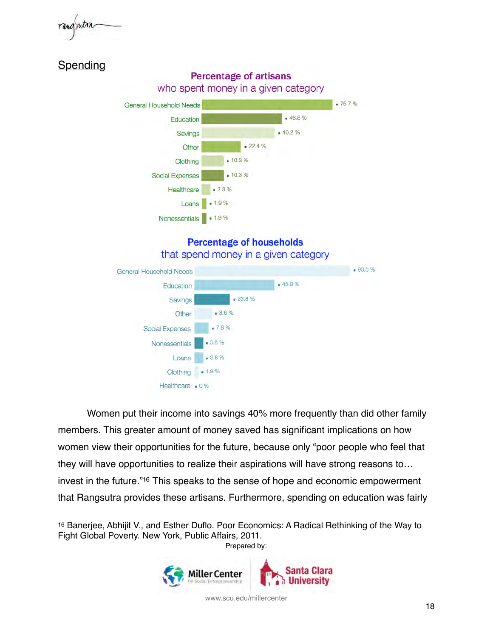

### **Spending**



### **Percentage of households** that spend money in a given category



Women put their income into savings 40% more frequently than did other family members. This greater amount of money saved has significant implications on how women view their opportunities for the future, because only "poor people who feel that they will have opportunities to realize their aspirations will have strong reasons to… invest in the future.["](#page-18-0)<sup>[16](#page-18-0)</sup> This speaks to the sense of hope and economic empowerment that Rangsutra provides these artisans. Furthermore, spending on education was fairly

<span id="page-18-1"></span><span id="page-18-0"></span>[<sup>16</sup>](#page-18-1) Banerjee, Abhijit V., and Esther Duflo. Poor Economics: A Radical Rethinking of the Way to Fight Global Poverty. New York, Public Affairs, 2011. Prepared by:

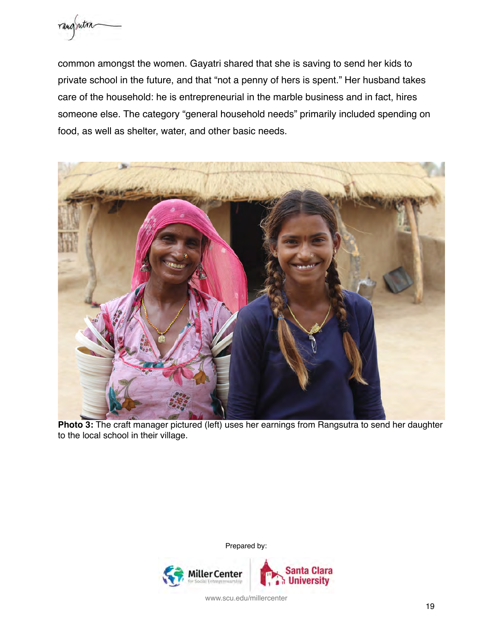

common amongst the women. Gayatri shared that she is saving to send her kids to private school in the future, and that "not a penny of hers is spent." Her husband takes care of the household: he is entrepreneurial in the marble business and in fact, hires someone else. The category "general household needs" primarily included spending on food, as well as shelter, water, and other basic needs.



**Photo 3:** The craft manager pictured (left) uses her earnings from Rangsutra to send her daughter to the local school in their village.

Prepared by:

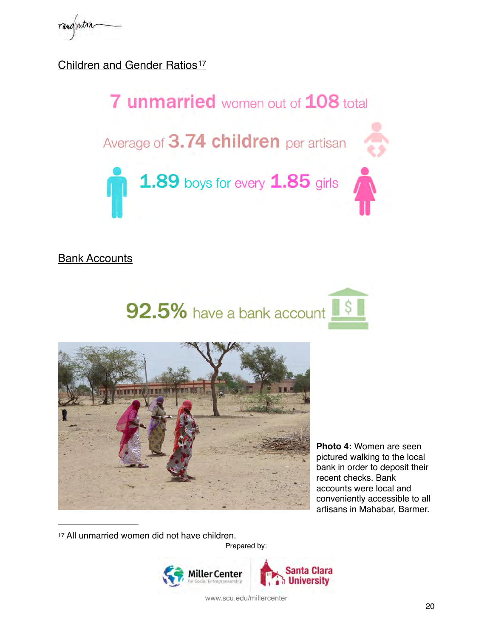Children and Gender Ratios<sup>[17](#page-20-0)</sup>

<span id="page-20-1"></span>

### Bank Accounts





**Photo 4:** Women are seen pictured walking to the local bank in order to deposit their recent checks. Bank accounts were local and conveniently accessible to all artisans in Mahabar, Barmer.

<span id="page-20-0"></span>[17](#page-20-1) All unmarried women did not have children. Prepared by:

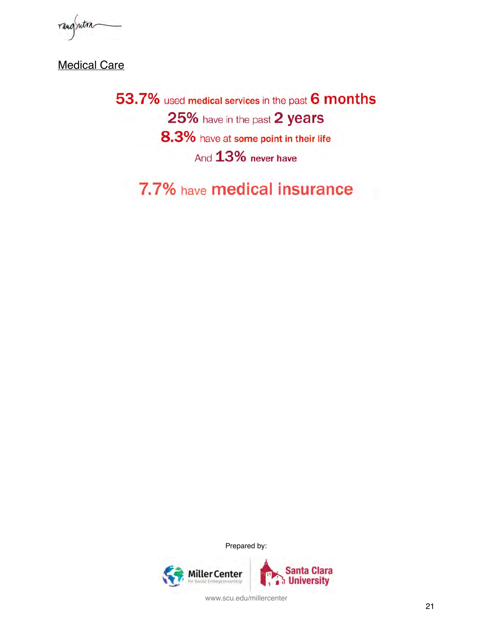rangsutra

**Medical Care** 

53.7% used medical services in the past 6 months 25% have in the past 2 years 8.3% have at some point in their life And 13% never have

7.7% have medical insurance

Prepared by:

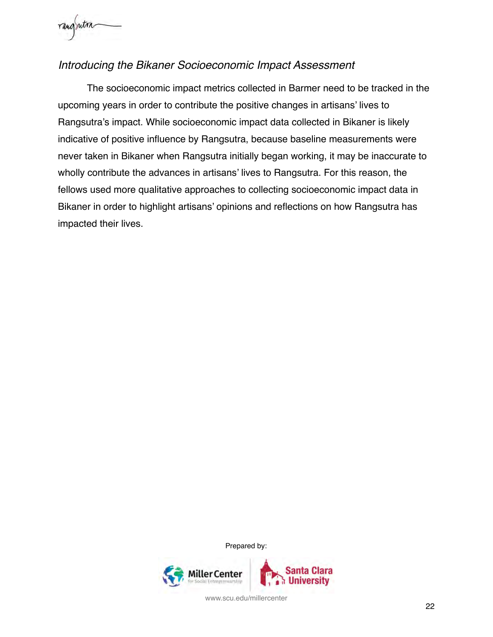

### <span id="page-22-0"></span>*Introducing the Bikaner Socioeconomic Impact Assessment*

The socioeconomic impact metrics collected in Barmer need to be tracked in the upcoming years in order to contribute the positive changes in artisans' lives to Rangsutra's impact. While socioeconomic impact data collected in Bikaner is likely indicative of positive influence by Rangsutra, because baseline measurements were never taken in Bikaner when Rangsutra initially began working, it may be inaccurate to wholly contribute the advances in artisans' lives to Rangsutra. For this reason, the fellows used more qualitative approaches to collecting socioeconomic impact data in Bikaner in order to highlight artisans' opinions and reflections on how Rangsutra has impacted their lives.

Prepared by:

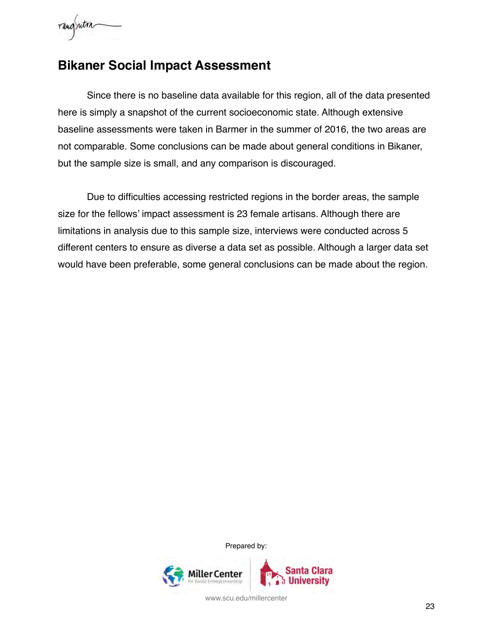

## <span id="page-23-0"></span>**Bikaner Social Impact Assessment**

Since there is no baseline data available for this region, all of the data presented here is simply a snapshot of the current socioeconomic state. Although extensive baseline assessments were taken in Barmer in the summer of 2016, the two areas are not comparable. Some conclusions can be made about general conditions in Bikaner, but the sample size is small, and any comparison is discouraged.

Due to difficulties accessing restricted regions in the border areas, the sample size for the fellows' impact assessment is 23 female artisans. Although there are limitations in analysis due to this sample size, interviews were conducted across 5 different centers to ensure as diverse a data set as possible. Although a larger data set would have been preferable, some general conclusions can be made about the region.

Prepared by:

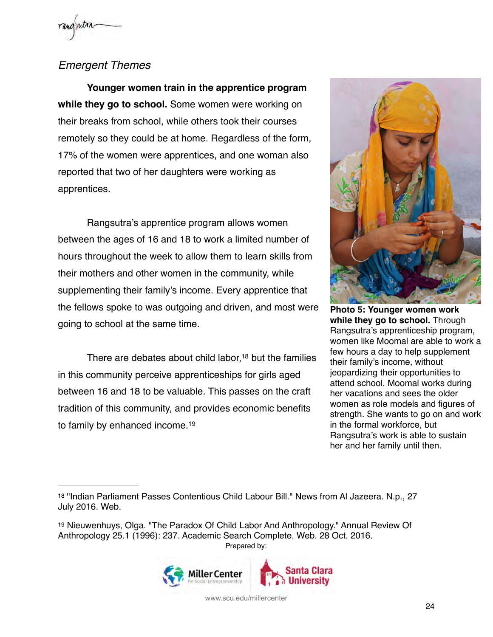### <span id="page-24-0"></span>*Emergent Themes*

**Younger women train in the apprentice program while they go to school.** Some women were working on their breaks from school, while others took their courses remotely so they could be at home. Regardless of the form, 17% of the women were apprentices, and one woman also reported that two of her daughters were working as apprentices.

Rangsutra's apprentice program allows women between the ages of 16 and 18 to work a limited number of hours throughout the week to allow them to learn skills from their mothers and other women in the community, while supplementing their family's income. Every apprentice that the fellows spoke to was outgoing and driven, and most were going to school at the same time.

There are debates about child labor[,](#page-24-1)  $18$  but the families in this community perceive apprenticeships for girls aged between 16 and 18 to be valuable. This passes on the craft tradition of this community, and provides economic benefits to family by enhanced income[.19](#page-24-2)



<span id="page-24-3"></span>**Photo 5: Younger women work while they go to school.** Through Rangsutra's apprenticeship program, women like Moomal are able to work a few hours a day to help supplement their family's income, without jeopardizing their opportunities to attend school. Moomal works during her vacations and sees the older women as role models and figures of strength. She wants to go on and work in the formal workforce, but Rangsutra's work is able to sustain her and her family until then.

<span id="page-24-2"></span>[<sup>19</sup>](#page-24-4) Nieuwenhuys, Olga. "The Paradox Of Child Labor And Anthropology." Annual Review Of Anthropology 25.1 (1996): 237. Academic Search Complete. Web. 28 Oct. 2016. Prepared by:



<span id="page-24-4"></span><span id="page-24-1"></span>[<sup>18</sup>](#page-24-3) "Indian Parliament Passes Contentious Child Labour Bill." News from Al Jazeera. N.p., 27 July 2016. Web.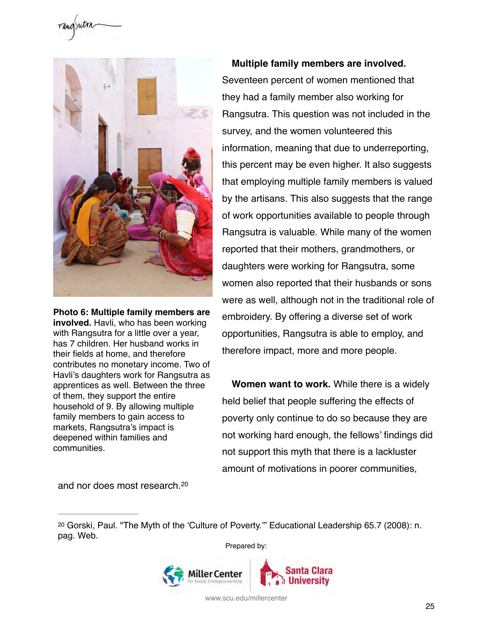



**Photo 6: Multiple family members are involved.** Havli, who has been working with Rangsutra for a little over a year, has 7 children. Her husband works in their fields at home, and therefore contributes no monetary income. Two of Havli's daughters work for Rangsutra as apprentices as well. Between the three of them, they support the entire household of 9. By allowing multiple family members to gain access to markets, Rangsutra's impact is deepened within families and communities.

**Multiple family members are involved.** Seventeen percent of women mentioned that they had a family member also working for Rangsutra. This question was not included in the survey, and the women volunteered this information, meaning that due to underreporting, this percent may be even higher. It also suggests that employing multiple family members is valued by the artisans. This also suggests that the range of work opportunities available to people through Rangsutra is valuable. While many of the women reported that their mothers, grandmothers, or daughters were working for Rangsutra, some women also reported that their husbands or sons were as well, although not in the traditional role of embroidery. By offering a diverse set of work opportunities, Rangsutra is able to employ, and therefore impact, more and more people.

**Women want to work.** While there is a widely held belief that people suffering the effects of poverty only continue to do so because they are not working hard enough, the fellows' findings did not support this myth that there is a lackluster amount of motivations in poorer communities,

and nor does most research.[20](#page-25-0)

<span id="page-25-1"></span>Prepared by:



<span id="page-25-0"></span>[<sup>20</sup>](#page-25-1) Gorski, Paul. "The Myth of the 'Culture of Poverty.'" Educational Leadership 65.7 (2008): n. pag. Web.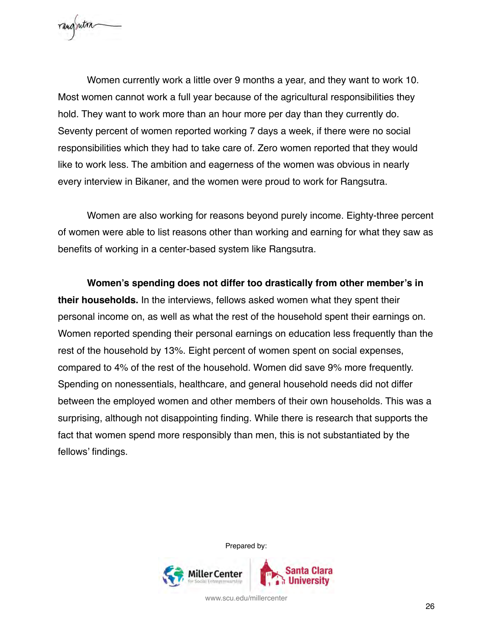

Women currently work a little over 9 months a year, and they want to work 10. Most women cannot work a full year because of the agricultural responsibilities they hold. They want to work more than an hour more per day than they currently do. Seventy percent of women reported working 7 days a week, if there were no social responsibilities which they had to take care of. Zero women reported that they would like to work less. The ambition and eagerness of the women was obvious in nearly every interview in Bikaner, and the women were proud to work for Rangsutra.

Women are also working for reasons beyond purely income. Eighty-three percent of women were able to list reasons other than working and earning for what they saw as benefits of working in a center-based system like Rangsutra.

**Women's spending does not differ too drastically from other member's in their households.** In the interviews, fellows asked women what they spent their personal income on, as well as what the rest of the household spent their earnings on. Women reported spending their personal earnings on education less frequently than the rest of the household by 13%. Eight percent of women spent on social expenses, compared to 4% of the rest of the household. Women did save 9% more frequently. Spending on nonessentials, healthcare, and general household needs did not differ between the employed women and other members of their own households. This was a surprising, although not disappointing finding. While there is research that supports the fact that women spend more responsibly than men, this is not substantiated by the fellows' findings.

Prepared by:

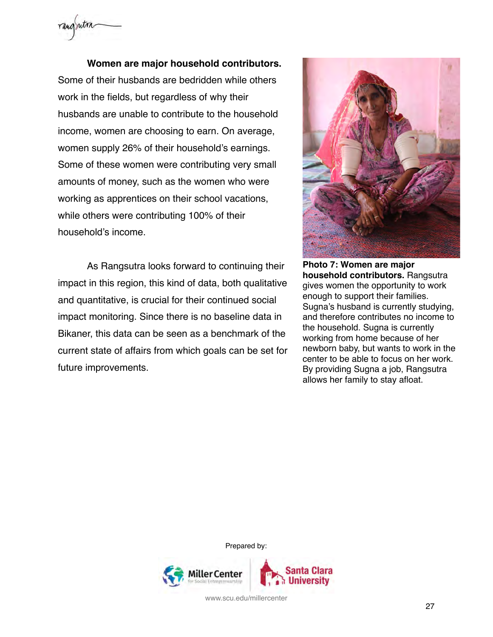

**Women are major household contributors.** Some of their husbands are bedridden while others work in the fields, but regardless of why their husbands are unable to contribute to the household income, women are choosing to earn. On average, women supply 26% of their household's earnings. Some of these women were contributing very small amounts of money, such as the women who were working as apprentices on their school vacations, while others were contributing 100% of their household's income.

As Rangsutra looks forward to continuing their impact in this region, this kind of data, both qualitative and quantitative, is crucial for their continued social impact monitoring. Since there is no baseline data in Bikaner, this data can be seen as a benchmark of the current state of affairs from which goals can be set for future improvements.



**Photo 7: Women are major household contributors.** Rangsutra gives women the opportunity to work enough to support their families. Sugna's husband is currently studying, and therefore contributes no income to the household. Sugna is currently working from home because of her newborn baby, but wants to work in the center to be able to focus on her work. By providing Sugna a job, Rangsutra allows her family to stay afloat.

Prepared by:

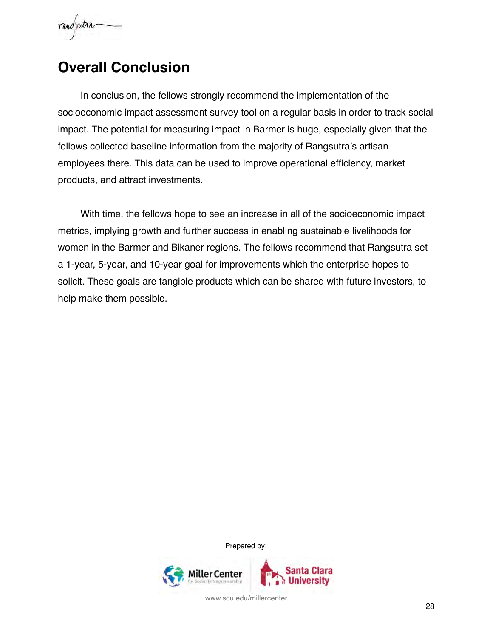

## <span id="page-28-0"></span>**Overall Conclusion**

In conclusion, the fellows strongly recommend the implementation of the socioeconomic impact assessment survey tool on a regular basis in order to track social impact. The potential for measuring impact in Barmer is huge, especially given that the fellows collected baseline information from the majority of Rangsutra's artisan employees there. This data can be used to improve operational efficiency, market products, and attract investments.

With time, the fellows hope to see an increase in all of the socioeconomic impact metrics, implying growth and further success in enabling sustainable livelihoods for women in the Barmer and Bikaner regions. The fellows recommend that Rangsutra set a 1-year, 5-year, and 10-year goal for improvements which the enterprise hopes to solicit. These goals are tangible products which can be shared with future investors, to help make them possible.

Prepared by:

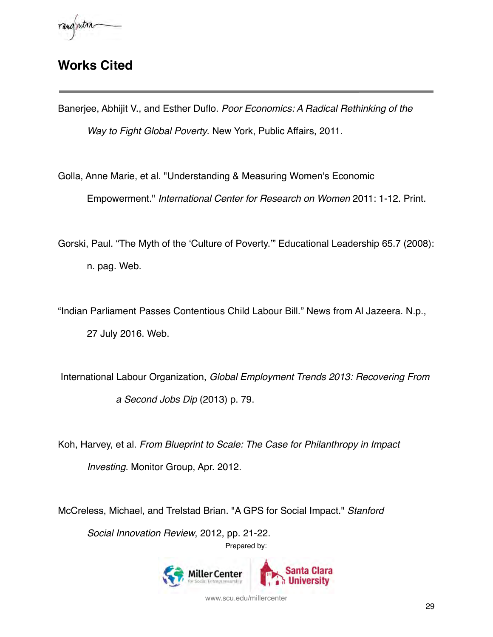## **Works Cited**

Banerjee, Abhijit V., and Esther Duflo. *Poor Economics: A Radical Rethinking of the Way to Fight Global Poverty*. New York, Public Affairs, 2011.

Golla, Anne Marie, et al. "Understanding & Measuring Women's Economic Empowerment." *International Center for Research on Women* 2011: 1-12. Print.

Gorski, Paul. "The Myth of the 'Culture of Poverty.'" Educational Leadership 65.7 (2008): n. pag. Web.

"Indian Parliament Passes Contentious Child Labour Bill." News from Al Jazeera. N.p., 27 July 2016. Web.

 International Labour Organization, *Global Employment Trends 2013: Recovering From a Second Jobs Dip* (2013) p. 79.

Koh, Harvey, et al. *From Blueprint to Scale: The Case for Philanthropy in Impact Investing*. Monitor Group, Apr. 2012.

McCreless, Michael, and Trelstad Brian. "A GPS for Social Impact." *Stanford Social Innovation Review*, 2012, pp. 21-22. Prepared by: